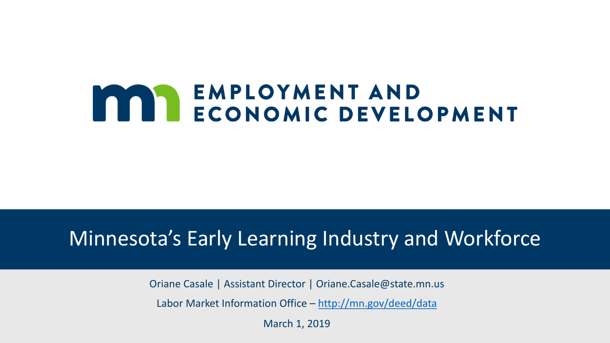# **MAN ENPLOYMENT AND<br>ECONOMIC DEVELOPMENT**

#### Minnesota's Early Learning Industry and Workforce

Oriane Casale | Assistant Director | Oriane.Casale@state.mn.us

Labor Market Information Office – <http://mn.gov/deed/data>

March 1, 2019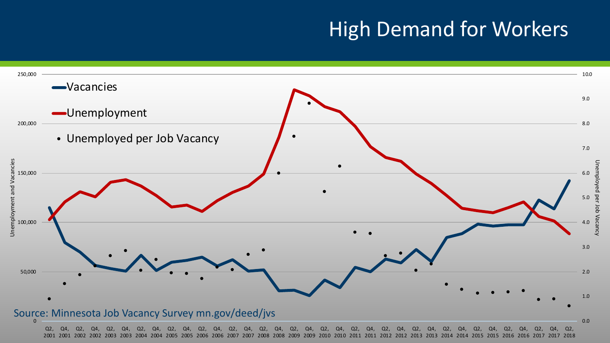## High Demand for Workers

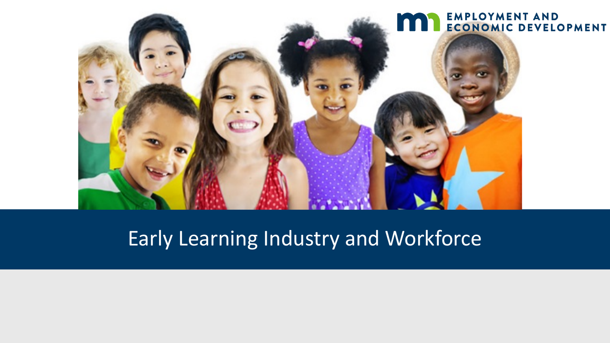

## Early Learning Industry and Workforce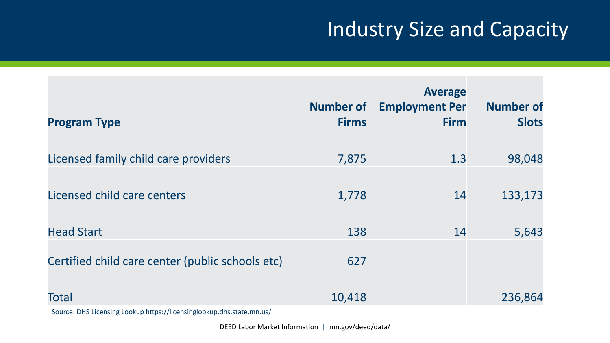# Industry Size and Capacity

| <b>Program Type</b>                              | <b>Number of</b><br><b>Firms</b> | <b>Average</b><br><b>Employment Per</b><br><b>Firm</b> | <b>Number of</b><br><b>Slots</b> |
|--------------------------------------------------|----------------------------------|--------------------------------------------------------|----------------------------------|
|                                                  |                                  |                                                        |                                  |
| Licensed family child care providers             | 7,875                            | 1.3                                                    | 98,048                           |
| Licensed child care centers                      | 1,778                            | 14                                                     | 133,173                          |
| <b>Head Start</b>                                | 138                              | 14                                                     | 5,643                            |
| Certified child care center (public schools etc) | 627                              |                                                        |                                  |
| <b>Total</b>                                     | 10,418                           |                                                        | 236,864                          |

Source: DHS Licensing Lookup https://licensinglookup.dhs.state.mn.us/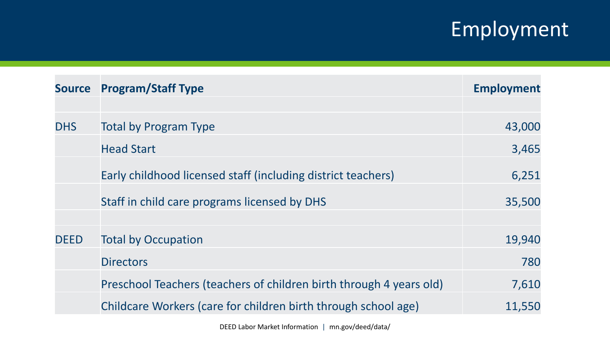# Employment

| <b>Source</b> | <b>Program/Staff Type</b>                                           | <b>Employment</b> |
|---------------|---------------------------------------------------------------------|-------------------|
|               |                                                                     |                   |
| <b>DHS</b>    | <b>Total by Program Type</b>                                        | 43,000            |
|               | <b>Head Start</b>                                                   | 3,465             |
|               | Early childhood licensed staff (including district teachers)        | 6,251             |
|               | Staff in child care programs licensed by DHS                        | 35,500            |
| <b>DEED</b>   | <b>Total by Occupation</b>                                          | 19,940            |
|               | <b>Directors</b>                                                    | 780               |
|               | Preschool Teachers (teachers of children birth through 4 years old) | 7,610             |
|               | Childcare Workers (care for children birth through school age)      | 11,550            |

DEED Labor Market Information | mn.gov/deed/data/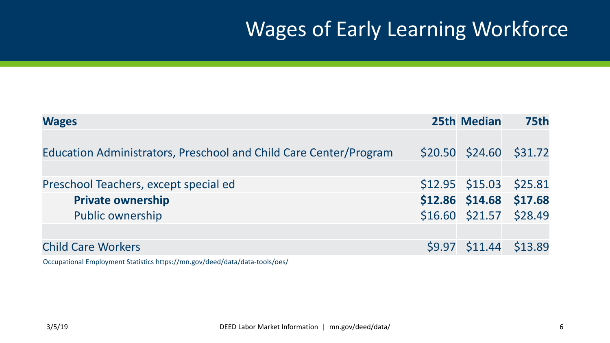# Wages of Early Learning Workforce

| <b>Wages</b>                                                      | <b>25th Median</b>         | <b>75th</b> |
|-------------------------------------------------------------------|----------------------------|-------------|
|                                                                   |                            |             |
| Education Administrators, Preschool and Child Care Center/Program | $$20.50$ $$24.60$ $$31.72$ |             |
|                                                                   |                            |             |
| Preschool Teachers, except special ed                             | $$12.95$ $$15.03$ $$25.81$ |             |
| <b>Private ownership</b>                                          | \$12.86 \$14.68 \$17.68    |             |
| <b>Public ownership</b>                                           | $$16.60$ $$21.57$ $$28.49$ |             |
|                                                                   |                            |             |
| <b>Child Care Workers</b>                                         | $$9.97$ $$11.44$ $$13.89$  |             |

Occupational Employment Statistics https://mn.gov/deed/data/data-tools/oes/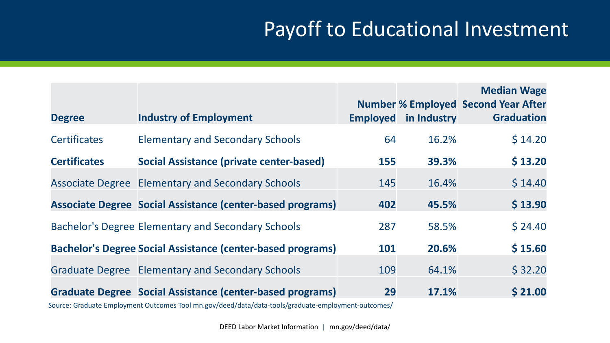## Payoff to Educational Investment

|                     |                                                                    |                 |             | <b>Median Wage</b><br><b>Number % Employed Second Year After</b> |
|---------------------|--------------------------------------------------------------------|-----------------|-------------|------------------------------------------------------------------|
| <b>Degree</b>       | <b>Industry of Employment</b>                                      | <b>Employed</b> | in Industry | <b>Graduation</b>                                                |
| <b>Certificates</b> | <b>Elementary and Secondary Schools</b>                            | 64              | 16.2%       | \$14.20                                                          |
| <b>Certificates</b> | <b>Social Assistance (private center-based)</b>                    | 155             | 39.3%       | \$13.20                                                          |
|                     | <b>Associate Degree Elementary and Secondary Schools</b>           | 145             | 16.4%       | \$14.40                                                          |
|                     | Associate Degree Social Assistance (center-based programs)         | 402             | 45.5%       | \$13.90                                                          |
|                     | <b>Bachelor's Degree Elementary and Secondary Schools</b>          | 287             | 58.5%       | \$24.40                                                          |
|                     | <b>Bachelor's Degree Social Assistance (center-based programs)</b> | 101             | 20.6%       | \$15.60                                                          |
|                     | <b>Graduate Degree Elementary and Secondary Schools</b>            | 109             | 64.1%       | \$32.20                                                          |
|                     | Graduate Degree Social Assistance (center-based programs)          | 29              | 17.1%       | \$21.00                                                          |

Source: Graduate Employment Outcomes Tool mn.gov/deed/data/data-tools/graduate-employment-outcomes/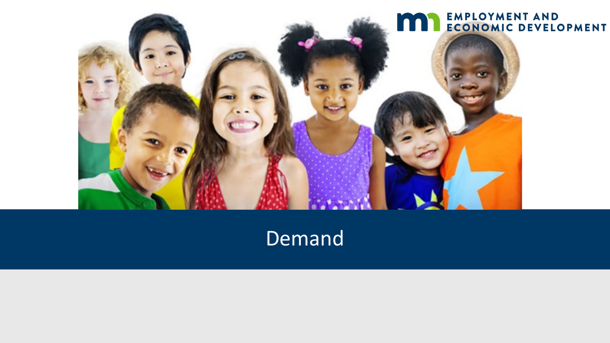

#### Demand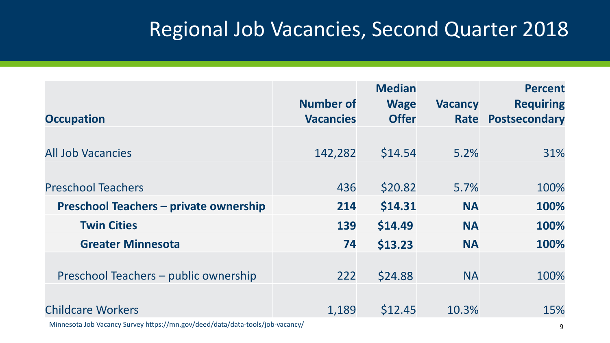## Regional Job Vacancies, Second Quarter 2018

|                                               | <b>Number of</b> | <b>Median</b><br><b>Wage</b> | <b>Vacancy</b> | <b>Percent</b><br><b>Requiring</b> |
|-----------------------------------------------|------------------|------------------------------|----------------|------------------------------------|
| <b>Occupation</b>                             | <b>Vacancies</b> | <b>Offer</b>                 | <b>Rate</b>    | Postsecondary                      |
|                                               |                  |                              |                |                                    |
| <b>All Job Vacancies</b>                      | 142,282          | \$14.54                      | 5.2%           | 31%                                |
| <b>Preschool Teachers</b>                     | 436              | \$20.82                      | 5.7%           | 100%                               |
| <b>Preschool Teachers - private ownership</b> | 214              | \$14.31                      | <b>NA</b>      | 100%                               |
| <b>Twin Cities</b>                            | 139              | \$14.49                      | <b>NA</b>      | 100%                               |
| <b>Greater Minnesota</b>                      | 74               | \$13.23                      | <b>NA</b>      | 100%                               |
| Preschool Teachers – public ownership         | 222              | \$24.88                      | <b>NA</b>      | 100%                               |
| <b>Childcare Workers</b>                      | 1,189            | \$12.45                      | 10.3%          | 15%                                |

Minnesota Job Vacancy Survey https://mn.gov/deed/data/data-tools/job-vacancy/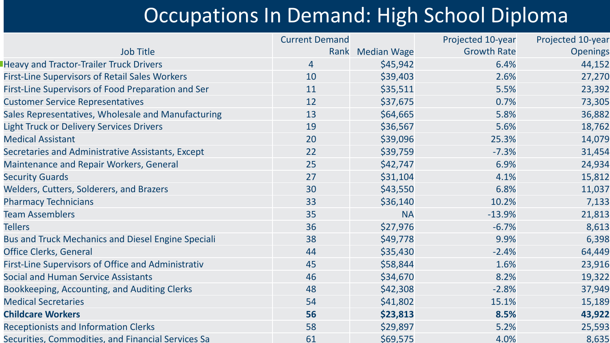## Occupations In Demand: High School Diploma

|                                                           | <b>Current Demand</b> |                  | Projected 10-year  | Projected 10-year |
|-----------------------------------------------------------|-----------------------|------------------|--------------------|-------------------|
| <b>Job Title</b>                                          |                       | Rank Median Wage | <b>Growth Rate</b> | <b>Openings</b>   |
| <b>Heavy and Tractor-Trailer Truck Drivers</b>            | 4                     | \$45,942         | 6.4%               | 44,152            |
| <b>First-Line Supervisors of Retail Sales Workers</b>     | 10                    | \$39,403         | 2.6%               | 27,270            |
| First-Line Supervisors of Food Preparation and Ser        | 11                    | \$35,511         | 5.5%               | 23,392            |
| <b>Customer Service Representatives</b>                   | 12                    | \$37,675         | 0.7%               | 73,305            |
| Sales Representatives, Wholesale and Manufacturing        | 13                    | \$64,665         | 5.8%               | 36,882            |
| <b>Light Truck or Delivery Services Drivers</b>           | 19                    | \$36,567         | 5.6%               | 18,762            |
| <b>Medical Assistant</b>                                  | 20                    | \$39,096         | 25.3%              | 14,079            |
| Secretaries and Administrative Assistants, Except         | 22                    | \$39,759         | $-7.3%$            | 31,454            |
| Maintenance and Repair Workers, General                   | 25                    | \$42,747         | 6.9%               | 24,934            |
| <b>Security Guards</b>                                    | 27                    | \$31,104         | 4.1%               | 15,812            |
| Welders, Cutters, Solderers, and Brazers                  | 30                    | \$43,550         | 6.8%               | 11,037            |
| <b>Pharmacy Technicians</b>                               | 33                    | \$36,140         | 10.2%              | 7,133             |
| <b>Team Assemblers</b>                                    | 35                    | <b>NA</b>        | $-13.9%$           | 21,813            |
| <b>Tellers</b>                                            | 36                    | \$27,976         | $-6.7%$            | 8,613             |
| <b>Bus and Truck Mechanics and Diesel Engine Speciali</b> | 38                    | \$49,778         | 9.9%               | 6,398             |
| <b>Office Clerks, General</b>                             | 44                    | \$35,430         | $-2.4%$            | 64,449            |
| First-Line Supervisors of Office and Administrativ        | 45                    | \$58,844         | 1.6%               | 23,916            |
| <b>Social and Human Service Assistants</b>                | 46                    | \$34,670         | 8.2%               | 19,322            |
| Bookkeeping, Accounting, and Auditing Clerks              | 48                    | \$42,308         | $-2.8%$            | 37,949            |
| <b>Medical Secretaries</b>                                | 54                    | \$41,802         | 15.1%              | 15,189            |
| <b>Childcare Workers</b>                                  | 56                    | \$23,813         | 8.5%               | 43,922            |
| <b>Receptionists and Information Clerks</b>               | 58                    | \$29,897         | 5.2%               | 25,593            |
| Securities, Commodities, and Financial Services Sa        | 61                    | \$69,575         | 4.0%               | 8,635             |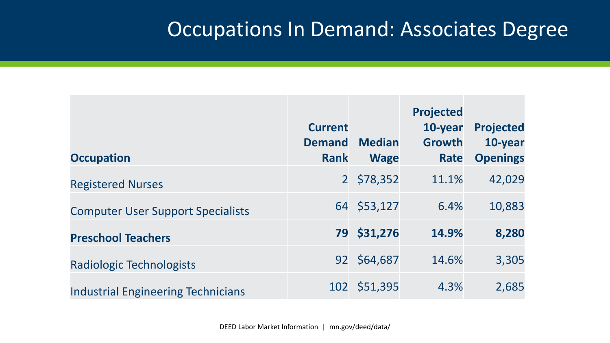#### Occupations In Demand: Associates Degree

| <b>Occupation</b>                         | <b>Current</b><br><b>Demand</b><br><b>Rank</b> | <b>Median</b><br><b>Wage</b> | <b>Projected</b><br>10-year<br><b>Growth</b><br>Rate | <b>Projected</b><br>10-year<br><b>Openings</b> |
|-------------------------------------------|------------------------------------------------|------------------------------|------------------------------------------------------|------------------------------------------------|
| <b>Registered Nurses</b>                  | 2 <sup>1</sup>                                 | \$78,352                     | 11.1%                                                | 42,029                                         |
| <b>Computer User Support Specialists</b>  | 64                                             | \$53,127                     | 6.4%                                                 | 10,883                                         |
| <b>Preschool Teachers</b>                 | 79                                             | \$31,276                     | 14.9%                                                | 8,280                                          |
| Radiologic Technologists                  | 92                                             | \$64,687                     | 14.6%                                                | 3,305                                          |
| <b>Industrial Engineering Technicians</b> | 102                                            | \$51,395                     | 4.3%                                                 | 2,685                                          |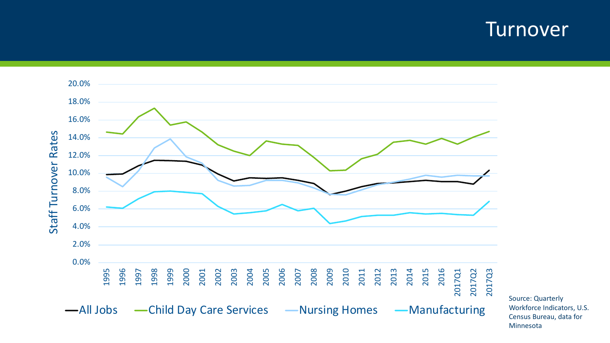#### Turnover



Source: Quarterly Workforce Indicators, U.S. Census Bureau, data for Minnesota